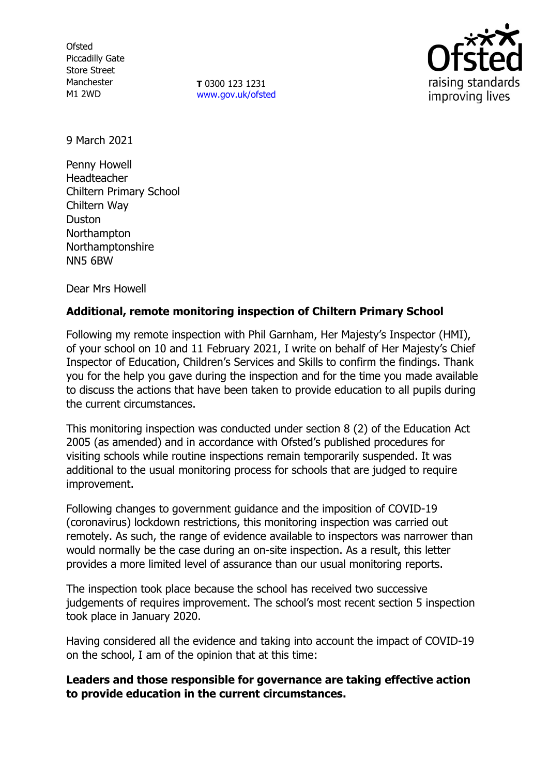**Ofsted** Piccadilly Gate Store Street Manchester M1 2WD

**T** 0300 123 1231 [www.gov.uk/ofsted](http://www.gov.uk/ofsted)



9 March 2021

Penny Howell Headteacher Chiltern Primary School Chiltern Way Duston Northampton Northamptonshire NN5 6BW

Dear Mrs Howell

# **Additional, remote monitoring inspection of Chiltern Primary School**

Following my remote inspection with Phil Garnham, Her Majesty's Inspector (HMI), of your school on 10 and 11 February 2021, I write on behalf of Her Majesty's Chief Inspector of Education, Children's Services and Skills to confirm the findings. Thank you for the help you gave during the inspection and for the time you made available to discuss the actions that have been taken to provide education to all pupils during the current circumstances.

This monitoring inspection was conducted under section 8 (2) of the Education Act 2005 (as amended) and in accordance with Ofsted's published procedures for visiting schools while routine inspections remain temporarily suspended. It was additional to the usual monitoring process for schools that are judged to require improvement.

Following changes to government guidance and the imposition of COVID-19 (coronavirus) lockdown restrictions, this monitoring inspection was carried out remotely. As such, the range of evidence available to inspectors was narrower than would normally be the case during an on-site inspection. As a result, this letter provides a more limited level of assurance than our usual monitoring reports.

The inspection took place because the school has received two successive judgements of requires improvement. The school's most recent section 5 inspection took place in January 2020.

Having considered all the evidence and taking into account the impact of COVID-19 on the school, I am of the opinion that at this time:

### **Leaders and those responsible for governance are taking effective action to provide education in the current circumstances.**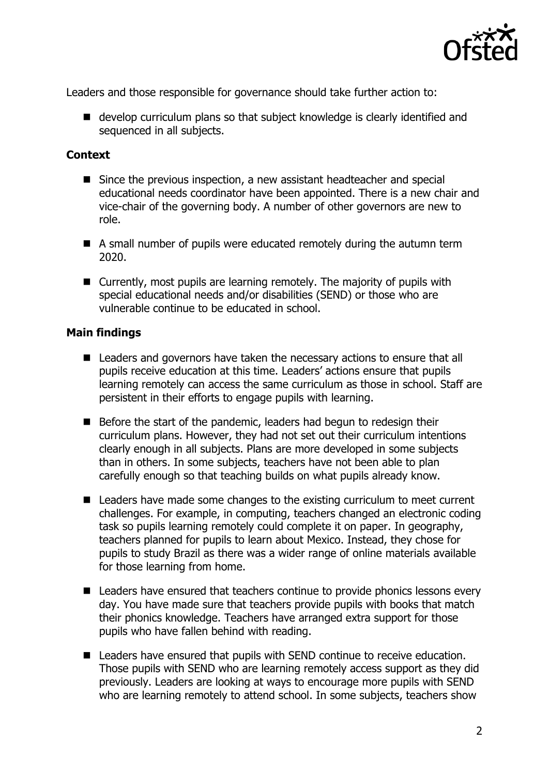

Leaders and those responsible for governance should take further action to:

■ develop curriculum plans so that subject knowledge is clearly identified and sequenced in all subjects.

## **Context**

- Since the previous inspection, a new assistant headteacher and special educational needs coordinator have been appointed. There is a new chair and vice-chair of the governing body. A number of other governors are new to role.
- A small number of pupils were educated remotely during the autumn term 2020.
- Currently, most pupils are learning remotely. The majority of pupils with special educational needs and/or disabilities (SEND) or those who are vulnerable continue to be educated in school.

# **Main findings**

- Leaders and governors have taken the necessary actions to ensure that all pupils receive education at this time. Leaders' actions ensure that pupils learning remotely can access the same curriculum as those in school. Staff are persistent in their efforts to engage pupils with learning.
- Before the start of the pandemic, leaders had begun to redesign their curriculum plans. However, they had not set out their curriculum intentions clearly enough in all subjects. Plans are more developed in some subjects than in others. In some subjects, teachers have not been able to plan carefully enough so that teaching builds on what pupils already know.
- Leaders have made some changes to the existing curriculum to meet current challenges. For example, in computing, teachers changed an electronic coding task so pupils learning remotely could complete it on paper. In geography, teachers planned for pupils to learn about Mexico. Instead, they chose for pupils to study Brazil as there was a wider range of online materials available for those learning from home.
- Leaders have ensured that teachers continue to provide phonics lessons every day. You have made sure that teachers provide pupils with books that match their phonics knowledge. Teachers have arranged extra support for those pupils who have fallen behind with reading.
- Leaders have ensured that pupils with SEND continue to receive education. Those pupils with SEND who are learning remotely access support as they did previously. Leaders are looking at ways to encourage more pupils with SEND who are learning remotely to attend school. In some subjects, teachers show